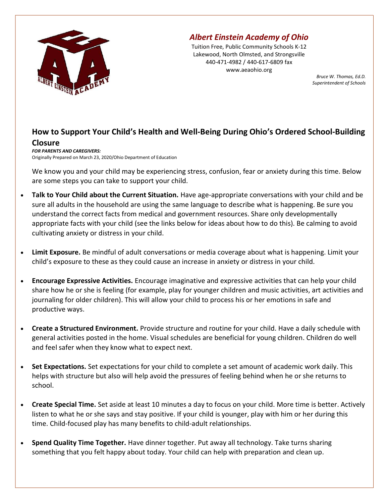

## Albert Einstein Academy of Ohio

Tuition Free, Public Community Schools K-12 Lakewood, North Olmsted, and Strongsville 440-471-4982 / 440-617-6809 fax www.aeaohio.org

Bruce W. Thomas, Ed.D. Superintendent of Schools

## How to Support Your Child's Health and Well-Being During Ohio's Ordered School-Building

## Closure

FOR PARENTS AND CAREGIVERS: Originally Prepared on March 23, 2020/Ohio Department of Education

We know you and your child may be experiencing stress, confusion, fear or anxiety during this time. Below are some steps you can take to support your child.

- Talk to Your Child about the Current Situation. Have age-appropriate conversations with your child and be sure all adults in the household are using the same language to describe what is happening. Be sure you understand the correct facts from medical and government resources. Share only developmentally appropriate facts with your child (see the links below for ideas about how to do this). Be calming to avoid cultivating anxiety or distress in your child.
- Limit Exposure. Be mindful of adult conversations or media coverage about what is happening. Limit your child's exposure to these as they could cause an increase in anxiety or distress in your child.
- Encourage Expressive Activities. Encourage imaginative and expressive activities that can help your child share how he or she is feeling (for example, play for younger children and music activities, art activities and journaling for older children). This will allow your child to process his or her emotions in safe and productive ways.
- Create a Structured Environment. Provide structure and routine for your child. Have a daily schedule with general activities posted in the home. Visual schedules are beneficial for young children. Children do well and feel safer when they know what to expect next.
- Set Expectations. Set expectations for your child to complete a set amount of academic work daily. This helps with structure but also will help avoid the pressures of feeling behind when he or she returns to school.
- Create Special Time. Set aside at least 10 minutes a day to focus on your child. More time is better. Actively listen to what he or she says and stay positive. If your child is younger, play with him or her during this time. Child-focused play has many benefits to child-adult relationships.
- Spend Quality Time Together. Have dinner together. Put away all technology. Take turns sharing something that you felt happy about today. Your child can help with preparation and clean up.